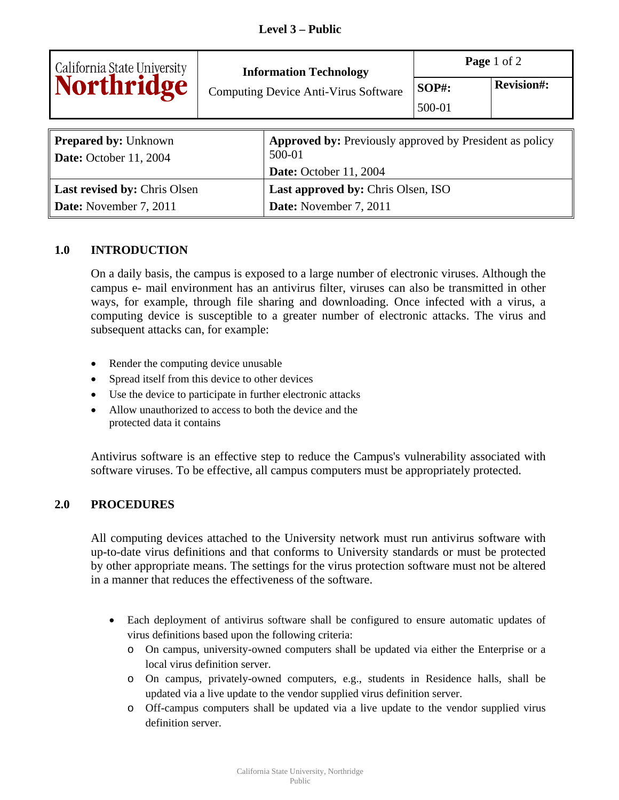|                                                       | <b>Information Technology</b><br><b>Computing Device Anti-Virus Software</b> |                                                                          | Page 1 of 2            |                   |  |
|-------------------------------------------------------|------------------------------------------------------------------------------|--------------------------------------------------------------------------|------------------------|-------------------|--|
| California State University<br>Northridge             |                                                                              |                                                                          | <b>SOP#:</b><br>500-01 | <b>Revision#:</b> |  |
| <b>Prepared by: Unknown</b><br>Date: October 11, 2004 |                                                                              | <b>Approved by:</b> Previously approved by President as policy<br>500-01 |                        |                   |  |
|                                                       |                                                                              | Date: October 11, 2004                                                   |                        |                   |  |
| Last revised by: Chris Olsen                          |                                                                              | Last approved by: Chris Olsen, ISO                                       |                        |                   |  |
| <b>Date:</b> November 7, 2011                         |                                                                              | <b>Date:</b> November 7, 2011                                            |                        |                   |  |

## **1.0 INTRODUCTION**

On a daily basis, the campus is exposed to a large number of electronic viruses. Although the campus e- mail environment has an antivirus filter, viruses can also be transmitted in other ways, for example, through file sharing and downloading. Once infected with a virus, a computing device is susceptible to a greater number of electronic attacks. The virus and subsequent attacks can, for example:

- Render the computing device unusable
- Spread itself from this device to other devices
- Use the device to participate in further electronic attacks
- Allow unauthorized to access to both the device and the protected data it contains

Antivirus software is an effective step to reduce the Campus's vulnerability associated with software viruses. To be effective, all campus computers must be appropriately protected.

## **2.0 PROCEDURES**

All computing devices attached to the University network must run antivirus software with up-to-date virus definitions and that conforms to University standards or must be protected by other appropriate means. The settings for the virus protection software must not be altered in a manner that reduces the effectiveness of the software.

- Each deployment of antivirus software shall be configured to ensure automatic updates of virus definitions based upon the following criteria:
	- o On campus, university-owned computers shall be updated via either the Enterprise or a local virus definition server.
	- o On campus, privately-owned computers, e.g., students in Residence halls, shall be updated via a live update to the vendor supplied virus definition server.
	- o Off-campus computers shall be updated via a live update to the vendor supplied virus definition server.